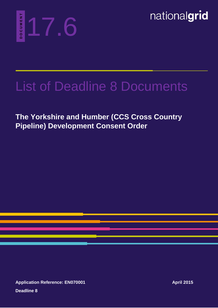

nationalgrid

## List of Deadline 8 Documents

**The Yorkshire and Humber (CCS Cross Country Pipeline) 17.6**<br> **Pipeline** 17.6<br> **Pipeline** Development Consent Order

**Application Reference: EN070001 Deadline 8**

**April 2015**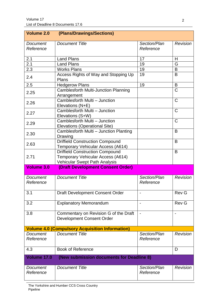| Volume 2.0            | (Plans/Drawings/Sections)                                                                                    |                           |                          |
|-----------------------|--------------------------------------------------------------------------------------------------------------|---------------------------|--------------------------|
| Document<br>Reference | <b>Document Title</b>                                                                                        | Section/Plan<br>Reference | Revision                 |
| 2.1                   | <b>Land Plans</b>                                                                                            | 17                        | H                        |
| 2.1                   | <b>Land Plans</b>                                                                                            | 19                        | G                        |
| 2.3                   | <b>Works Plans</b>                                                                                           | 19                        | B                        |
| 2.4                   | Access Rights of Way and Stopping Up<br>Plans                                                                | 19                        | B                        |
| 2.5                   | <b>Hedgerow Plans</b>                                                                                        | 19                        | B                        |
| 2.25                  | Camblesforth Multi-Junction Planning<br>Arrangement                                                          |                           | $\mathsf{C}$             |
| 2.26                  | Camblesforth Multi - Junction<br>Elevations (N+E)                                                            |                           | $\mathsf{C}$             |
| 2.27                  | Camblesforth Multi - Junction<br>Elevations (S+W)                                                            |                           | $\mathsf C$              |
| 2.29                  | Camblesforth Multi - Junction<br>Elevations (Operational Site)                                               |                           | $\mathsf{C}$             |
| 2.30                  | Camblesforth Multi - Junction Planting<br>Drawing                                                            |                           | B                        |
| 2.63                  | <b>Driffield Construction Compound</b><br>Temporary Vehicular Access (A614)                                  |                           | B                        |
| 2.71                  | <b>Driffield Construction Compound</b><br>Temporary Vehicular Access (A614)<br>Vehicular Swept Path Analysis |                           | B                        |
| <b>Volume 3.0</b>     | (Draft Development Consent Order)                                                                            |                           |                          |
| Document<br>Reference | <b>Document Title</b>                                                                                        | Section/Plan<br>Reference | <b>Revision</b>          |
| 3.1                   | <b>Draft Development Consent Order</b>                                                                       |                           | <b>Rev G</b>             |
| 3.2                   | <b>Explanatory Memorandum</b>                                                                                |                           | Rev G                    |
| 3.8                   | Commentary on Revision G of the Draft<br><b>Development Consent Order</b>                                    | $\overline{\phantom{a}}$  | $\overline{\phantom{a}}$ |
|                       | <b>Volume 4.0 (Compulsory Acquisition Information)</b>                                                       |                           |                          |
| Document<br>Reference | <b>Document Title</b>                                                                                        | Section/Plan<br>Reference | Revision                 |
| 4.3                   | <b>Book of Reference</b>                                                                                     |                           | D                        |
| Volume 17.0           | (New submission documents for Deadline 8)                                                                    |                           |                          |
| Document<br>Reference | <b>Document Title</b>                                                                                        | Section/Plan<br>Reference | Revision                 |